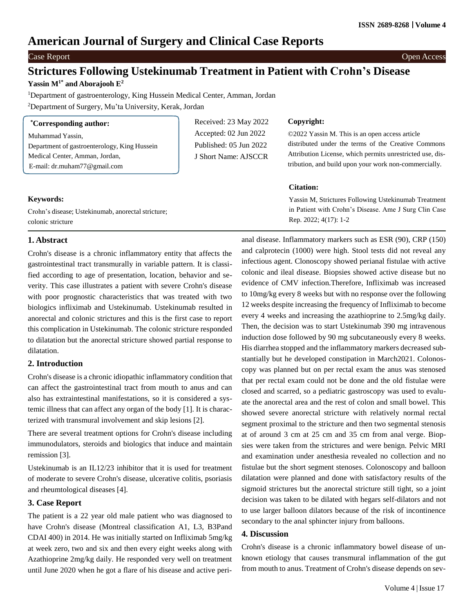# **American Journal of Surgery and Clinical Case Reports**

# Case Report **Case Report** Open Access

# **Strictures Following Ustekinumab Treatment in Patient with Crohn's Disease**

# **Yassin M1\* and Aborajooh E 2**

<sup>1</sup>Department of gastroenterology, King Hussein Medical Center, Amman, Jordan <sup>2</sup>Department of Surgery, Mu'ta University, Kerak, Jordan

| <i>*Corresponding author:</i>                |
|----------------------------------------------|
| Muhammad Yassin,                             |
| Department of gastroenterology, King Hussein |

Medical Center, Amman, Jordan, E-mail: [dr.muham77@gmail.com](mailto:dr.muham77@gmail.com) Received: 23 May 2022 Accepted: 02 Jun 2022 Published: 05 Jun 2022 J Short Name: AJSCCR

#### **Copyright:**

©2022 Yassin M. This is an open access article distributed under the terms of the Creative Commons Attribution License, which permits unrestricted use, distribution, and build upon your work non-commercially.

#### **Citation:**

Yassin M, Strictures Following Ustekinumab Treatment in Patient with Crohn's Disease. Ame J Surg Clin Case Rep. 2022; 4(17): 1-2

### **Keywords:**

Crohn's disease; Ustekinumab, anorectal stricture; colonic stricture

## **1. Abstract**

Crohn's disease is a chronic inflammatory entity that affects the gastrointestinal tract transmurally in variable pattern. It is classified according to age of presentation, location, behavior and severity. This case illustrates a patient with severe Crohn's disease with poor prognostic characteristics that was treated with two biologics infliximab and Ustekinumab. Ustekinumab resulted in anorectal and colonic strictures and this is the first case to report this complication in Ustekinumab. The colonic stricture responded to dilatation but the anorectal stricture showed partial response to dilatation.

## **2. Introduction**

Crohn's disease is a chronic idiopathic inflammatory condition that can affect the gastrointestinal tract from mouth to anus and can also has extraintestinal manifestations, so it is considered a systemic illness that can affect any organ of the body [1]. It is characterized with transmural involvement and skip lesions [2].

There are several treatment options for Crohn's disease including immunodulators, steroids and biologics that induce and maintain remission [3].

Ustekinumab is an IL12/23 inhibitor that it is used for treatment of moderate to severe Crohn's disease, ulcerative colitis, psoriasis and rheumtological diseases [4].

## **3. Case Report**

The patient is a 22 year old male patient who was diagnosed to have Crohn's disease (Montreal classification A1, L3, B3Pand CDAI 400) in 2014. He was initially started on Infliximab 5mg/kg at week zero, two and six and then every eight weeks along with Azathioprine 2mg/kg daily. He responded very well on treatment until June 2020 when he got a flare of his disease and active peri-

anal disease. Inflammatory markers such as ESR (90), CRP (150) and calprotecin (1000) were high. Stool tests did not reveal any infectious agent. Clonoscopy showed perianal fistulae with active colonic and ileal disease. Biopsies showed active disease but no evidence of CMV infection.Therefore, Infliximab was increased to 10mg/kg every 8 weeks but with no response over the following 12 weeks despite increasing the frequency of Infliximab to become every 4 weeks and increasing the azathioprine to 2.5mg/kg daily. Then, the decision was to start Ustekinumab 390 mg intravenous induction dose followed by 90 mg subcutaneously every 8 weeks. His diarrhea stopped and the inflammatory markers decreased substantially but he developed constipation in March2021. Colonoscopy was planned but on per rectal exam the anus was stenosed that per rectal exam could not be done and the old fistulae were closed and scarred, so a pediatric gastroscopy was used to evaluate the anorectal area and the rest of colon and small bowel. This showed severe anorectal stricture with relatively normal rectal segment proximal to the stricture and then two segmental stenosis at of around 3 cm at 25 cm and 35 cm from anal verge. Biopsies were taken from the strictures and were benign. Pelvic MRI and examination under anesthesia revealed no collection and no fistulae but the short segment stenoses. Colonoscopy and balloon dilatation were planned and done with satisfactory results of the sigmoid strictures but the anorectal stricture still tight, so a joint decision was taken to be dilated with hegars self-dilators and not to use larger balloon dilators because of the risk of incontinence secondary to the anal sphincter injury from balloons.

#### **4. Discussion**

Crohn's disease is a chronic inflammatory bowel disease of unknown etiology that causes transmural inflammation of the gut from mouth to anus. Treatment of Crohn's disease depends on sev-